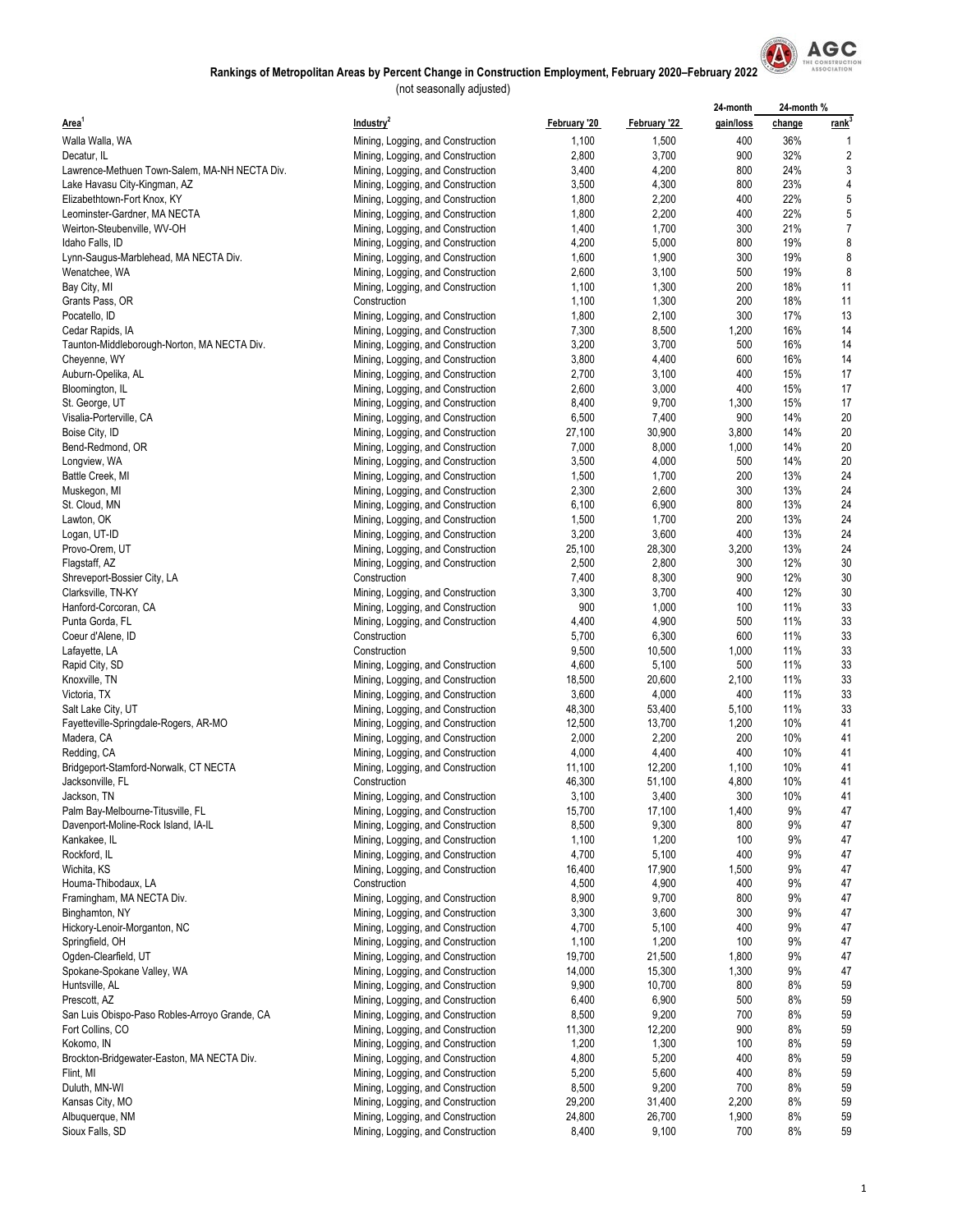

|                                               |                                   |              |              | 24-month  | 24-month% |                   |
|-----------------------------------------------|-----------------------------------|--------------|--------------|-----------|-----------|-------------------|
| Area <sup>1</sup>                             | Industry <sup>2</sup>             | February '20 | February '22 | gain/loss | change    | rank <sup>3</sup> |
| Walla Walla, WA                               | Mining, Logging, and Construction | 1,100        | 1,500        | 400       | 36%       |                   |
| Decatur, IL                                   | Mining, Logging, and Construction | 2,800        | 3,700        | 900       | 32%       | $\overline{2}$    |
| Lawrence-Methuen Town-Salem, MA-NH NECTA Div. | Mining, Logging, and Construction | 3,400        | 4,200        | 800       | 24%       | 3                 |
|                                               |                                   |              |              | 800       | 23%       | 4                 |
| Lake Havasu City-Kingman, AZ                  | Mining, Logging, and Construction | 3,500        | 4,300        |           |           |                   |
| Elizabethtown-Fort Knox, KY                   | Mining, Logging, and Construction | 1,800        | 2,200        | 400       | 22%       | 5                 |
| Leominster-Gardner, MA NECTA                  | Mining, Logging, and Construction | 1,800        | 2,200        | 400       | 22%       | 5                 |
| Weirton-Steubenville, WV-OH                   | Mining, Logging, and Construction | 1,400        | 1,700        | 300       | 21%       | $\overline{7}$    |
| Idaho Falls, ID                               | Mining, Logging, and Construction | 4,200        | 5,000        | 800       | 19%       | 8                 |
| Lynn-Saugus-Marblehead, MA NECTA Div.         | Mining, Logging, and Construction | 1,600        | 1,900        | 300       | 19%       | 8                 |
| Wenatchee, WA                                 | Mining, Logging, and Construction | 2,600        | 3,100        | 500       | 19%       | 8                 |
| Bay City, MI                                  | Mining, Logging, and Construction | 1,100        | 1,300        | 200       | 18%       | 11                |
| Grants Pass, OR                               | Construction                      | 1,100        | 1,300        | 200       | 18%       | 11                |
| Pocatello, ID                                 | Mining, Logging, and Construction | 1,800        | 2,100        | 300       | 17%       | 13                |
| Cedar Rapids, IA                              | Mining, Logging, and Construction | 7,300        | 8,500        | 1,200     | 16%       | 14                |
| Taunton-Middleborough-Norton, MA NECTA Div.   | Mining, Logging, and Construction | 3,200        | 3,700        | 500       | 16%       | 14                |
| Cheyenne, WY                                  | Mining, Logging, and Construction | 3,800        | 4,400        | 600       | 16%       | 14                |
|                                               |                                   | 2,700        | 3,100        | 400       | 15%       | 17                |
| Auburn-Opelika, AL                            | Mining, Logging, and Construction |              |              |           |           |                   |
| Bloomington, IL                               | Mining, Logging, and Construction | 2,600        | 3,000        | 400       | 15%       | 17                |
| St. George, UT                                | Mining, Logging, and Construction | 8,400        | 9,700        | 1,300     | 15%       | 17                |
| Visalia-Porterville, CA                       | Mining, Logging, and Construction | 6,500        | 7,400        | 900       | 14%       | 20                |
| Boise City, ID                                | Mining, Logging, and Construction | 27,100       | 30,900       | 3,800     | 14%       | 20                |
| Bend-Redmond, OR                              | Mining, Logging, and Construction | 7,000        | 8,000        | 1,000     | 14%       | 20                |
| Longview, WA                                  | Mining, Logging, and Construction | 3,500        | 4,000        | 500       | 14%       | 20                |
| Battle Creek, MI                              | Mining, Logging, and Construction | 1,500        | 1,700        | 200       | 13%       | 24                |
| Muskegon, MI                                  | Mining, Logging, and Construction | 2,300        | 2,600        | 300       | 13%       | 24                |
| St. Cloud, MN                                 | Mining, Logging, and Construction | 6,100        | 6,900        | 800       | 13%       | 24                |
| Lawton, OK                                    | Mining, Logging, and Construction | 1,500        | 1,700        | 200       | 13%       | 24                |
|                                               | Mining, Logging, and Construction | 3,200        | 3,600        | 400       | 13%       | 24                |
| Logan, UT-ID                                  |                                   |              |              |           |           |                   |
| Provo-Orem, UT                                | Mining, Logging, and Construction | 25,100       | 28,300       | 3,200     | 13%       | 24                |
| Flagstaff, AZ                                 | Mining, Logging, and Construction | 2,500        | 2,800        | 300       | 12%       | 30                |
| Shreveport-Bossier City, LA                   | Construction                      | 7,400        | 8,300        | 900       | 12%       | 30                |
| Clarksville, TN-KY                            | Mining, Logging, and Construction | 3,300        | 3,700        | 400       | 12%       | 30                |
| Hanford-Corcoran, CA                          | Mining, Logging, and Construction | 900          | 1,000        | 100       | 11%       | 33                |
| Punta Gorda, FL                               | Mining, Logging, and Construction | 4,400        | 4,900        | 500       | 11%       | 33                |
| Coeur d'Alene, ID                             | Construction                      | 5,700        | 6,300        | 600       | 11%       | 33                |
| Lafayette, LA                                 | Construction                      | 9,500        | 10,500       | 1,000     | 11%       | 33                |
| Rapid City, SD                                | Mining, Logging, and Construction | 4,600        | 5,100        | 500       | 11%       | 33                |
| Knoxville, TN                                 | Mining, Logging, and Construction | 18,500       | 20,600       | 2,100     | 11%       | 33                |
| Victoria, TX                                  | Mining, Logging, and Construction | 3,600        | 4,000        | 400       | 11%       | 33                |
| Salt Lake City, UT                            | Mining, Logging, and Construction | 48,300       | 53,400       | 5,100     | 11%       | 33                |
| Fayetteville-Springdale-Rogers, AR-MO         | Mining, Logging, and Construction | 12,500       | 13,700       | 1,200     | 10%       | 41                |
| Madera, CA                                    |                                   |              |              |           | 10%       | 41                |
|                                               | Mining, Logging, and Construction | 2,000        | 2,200        | 200       |           |                   |
| Redding, CA                                   | Mining, Logging, and Construction | 4,000        | 4,400        | 400       | 10%       | 41                |
| Bridgeport-Stamford-Norwalk, CT NECTA         | Mining, Logging, and Construction | 11,100       | 12,200       | 1,100     | 10%       | 41                |
| Jacksonville, FL                              | Construction                      | 46,300       | 51,100       | 4,800     | 10%       | 41                |
| Jackson, TN                                   | Mining, Logging, and Construction | 3,100        | 3,400        | 300       | 10%       | 41                |
| Palm Bay-Melbourne-Titusville, FL             | Mining, Logging, and Construction | 15,700       | 17,100       | 1,400     | 9%        | 47                |
| Davenport-Moline-Rock Island, IA-IL           | Mining, Logging, and Construction | 8,500        | 9,300        | 800       | 9%        | 47                |
| Kankakee, IL                                  | Mining, Logging, and Construction | 1,100        | 1,200        | 100       | 9%        | 47                |
| Rockford, IL                                  | Mining, Logging, and Construction | 4,700        | 5,100        | 400       | 9%        | 47                |
| Wichita, KS                                   | Mining, Logging, and Construction | 16,400       | 17,900       | 1,500     | 9%        | 47                |
| Houma-Thibodaux, LA                           | Construction                      | 4,500        | 4,900        | 400       | 9%        | 47                |
| Framingham, MA NECTA Div.                     | Mining, Logging, and Construction | 8,900        | 9,700        | 800       | 9%        | 47                |
| Binghamton, NY                                |                                   | 3,300        |              | 300       | 9%        | 47                |
|                                               | Mining, Logging, and Construction |              | 3,600        |           |           |                   |
| Hickory-Lenoir-Morganton, NC                  | Mining, Logging, and Construction | 4,700        | 5,100        | 400       | 9%        | 47                |
| Springfield, OH                               | Mining, Logging, and Construction | 1,100        | 1,200        | 100       | 9%        | 47                |
| Ogden-Clearfield, UT                          | Mining, Logging, and Construction | 19,700       | 21,500       | 1,800     | 9%        | 47                |
| Spokane-Spokane Valley, WA                    | Mining, Logging, and Construction | 14,000       | 15,300       | 1,300     | 9%        | 47                |
| Huntsville, AL                                | Mining, Logging, and Construction | 9,900        | 10,700       | 800       | 8%        | 59                |
| Prescott, AZ                                  | Mining, Logging, and Construction | 6,400        | 6,900        | 500       | 8%        | 59                |
| San Luis Obispo-Paso Robles-Arroyo Grande, CA | Mining, Logging, and Construction | 8,500        | 9,200        | 700       | 8%        | 59                |
| Fort Collins, CO                              | Mining, Logging, and Construction | 11,300       | 12,200       | 900       | 8%        | 59                |
| Kokomo, IN                                    | Mining, Logging, and Construction | 1,200        | 1,300        | 100       | 8%        | 59                |
| Brockton-Bridgewater-Easton, MA NECTA Div.    | Mining, Logging, and Construction | 4,800        | 5,200        | 400       | 8%        | 59                |
| Flint, MI                                     | Mining, Logging, and Construction | 5,200        | 5,600        | 400       | 8%        | 59                |
| Duluth, MN-WI                                 | Mining, Logging, and Construction | 8,500        | 9,200        | 700       | 8%        | 59                |
| Kansas City, MO                               |                                   |              |              |           |           |                   |
|                                               | Mining, Logging, and Construction | 29,200       | 31,400       | 2,200     | 8%        | 59                |
| Albuquerque, NM                               | Mining, Logging, and Construction | 24,800       | 26,700       | 1,900     | 8%        | 59                |
| Sioux Falls, SD                               | Mining, Logging, and Construction | 8,400        | 9,100        | 700       | 8%        | 59                |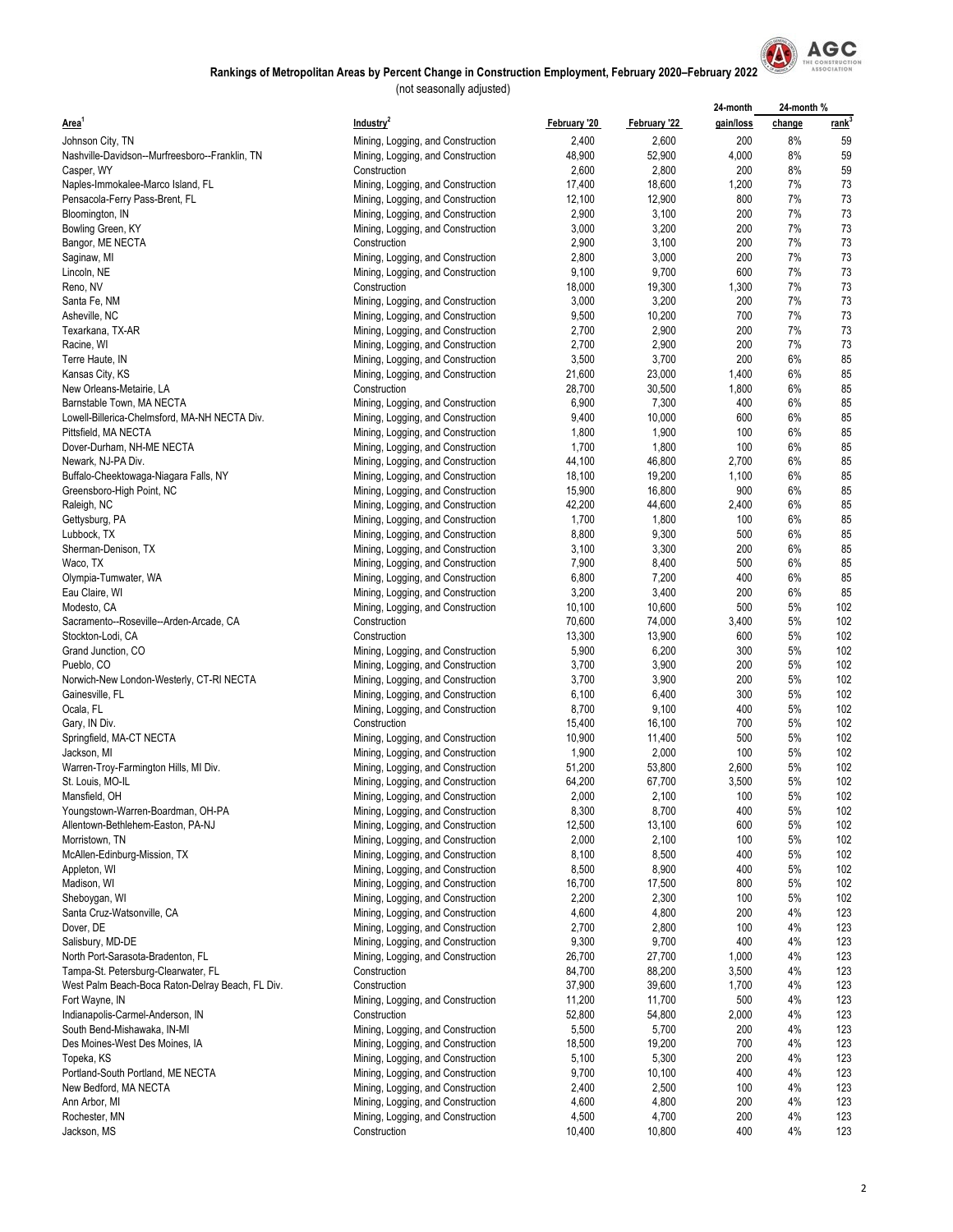

|                                                  |                                                   |                  |                | 24-month   | 24-month% |                   |
|--------------------------------------------------|---------------------------------------------------|------------------|----------------|------------|-----------|-------------------|
| Area <sup>1</sup>                                | Industry <sup>2</sup>                             | February '20     | February '22   | gain/loss  | change    | rank <sup>3</sup> |
| Johnson City, TN                                 | Mining, Logging, and Construction                 | 2,400            | 2,600          | 200        | 8%        | 59                |
| Nashville-Davidson--Murfreesboro--Franklin, TN   | Mining, Logging, and Construction                 | 48,900           | 52,900         | 4,000      | 8%        | 59                |
| Casper, WY                                       | Construction                                      | 2,600            | 2,800          | 200        | 8%        | 59                |
| Naples-Immokalee-Marco Island, FL                | Mining, Logging, and Construction                 | 17,400           | 18,600         | 1,200      | 7%        | 73                |
| Pensacola-Ferry Pass-Brent, FL                   | Mining, Logging, and Construction                 | 12,100           | 12,900         | 800        | 7%        | 73                |
| Bloomington, IN                                  | Mining, Logging, and Construction                 | 2,900            | 3,100          | 200        | 7%        | 73                |
| Bowling Green, KY                                | Mining, Logging, and Construction                 | 3,000            | 3,200          | 200        | 7%        | 73                |
| Bangor, ME NECTA                                 | Construction                                      | 2,900            | 3,100          | 200        | 7%        | 73                |
| Saginaw, MI                                      | Mining, Logging, and Construction                 | 2,800            | 3,000          | 200        | 7%        | 73                |
| Lincoln, NE                                      | Mining, Logging, and Construction                 | 9,100            | 9,700          | 600        | 7%        | 73                |
| Reno, NV                                         | Construction                                      | 18,000           | 19,300         | 1,300      | 7%        | 73                |
| Santa Fe, NM                                     | Mining, Logging, and Construction                 | 3,000            | 3,200          | 200        | 7%        | 73                |
| Asheville, NC                                    | Mining, Logging, and Construction                 | 9,500            | 10,200         | 700        | 7%        | 73                |
| Texarkana, TX-AR                                 | Mining, Logging, and Construction                 | 2,700            | 2,900          | 200        | 7%        | 73                |
| Racine, WI                                       | Mining, Logging, and Construction                 | 2,700            | 2,900          | 200        | 7%        | 73                |
| Terre Haute, IN                                  | Mining, Logging, and Construction                 | 3,500            | 3,700          | 200        | 6%        | 85                |
| Kansas City, KS                                  | Mining, Logging, and Construction                 | 21,600           | 23,000         | 1,400      | 6%        | 85                |
| New Orleans-Metairie, LA                         | Construction                                      | 28,700           | 30,500         | 1,800      | 6%        | 85                |
| Barnstable Town, MA NECTA                        | Mining, Logging, and Construction                 | 6,900            | 7,300          | 400        | 6%        | 85                |
| Lowell-Billerica-Chelmsford, MA-NH NECTA Div.    | Mining, Logging, and Construction                 | 9,400            | 10,000         | 600        | 6%        | 85                |
| Pittsfield, MA NECTA                             | Mining, Logging, and Construction                 | 1,800            | 1,900          | 100        | 6%        | 85                |
| Dover-Durham, NH-ME NECTA                        | Mining, Logging, and Construction                 | 1,700            | 1,800          | 100        | 6%        | 85                |
| Newark, NJ-PA Div.                               | Mining, Logging, and Construction                 | 44,100           | 46,800         | 2,700      | 6%        | 85                |
| Buffalo-Cheektowaga-Niagara Falls, NY            | Mining, Logging, and Construction                 | 18,100           | 19,200         | 1,100      | 6%        | 85                |
| Greensboro-High Point, NC                        | Mining, Logging, and Construction                 | 15,900           | 16,800         | 900        | 6%        | 85                |
| Raleigh, NC                                      | Mining, Logging, and Construction                 | 42,200           | 44,600         | 2,400      | 6%        | 85                |
| Gettysburg, PA                                   | Mining, Logging, and Construction                 | 1,700            | 1,800          | 100        | 6%        | 85                |
| Lubbock, TX                                      | Mining, Logging, and Construction                 | 8,800            | 9,300          | 500        | 6%        | 85                |
| Sherman-Denison, TX                              | Mining, Logging, and Construction                 | 3,100            | 3,300          | 200        | 6%        | 85                |
| Waco, TX                                         | Mining, Logging, and Construction                 | 7,900            | 8,400          | 500        | 6%        | 85                |
| Olympia-Tumwater, WA                             | Mining, Logging, and Construction                 | 6,800            | 7,200          | 400        | 6%        | 85                |
| Eau Claire, WI                                   | Mining, Logging, and Construction                 | 3,200            | 3,400          | 200        | 6%        | 85                |
| Modesto, CA                                      | Mining, Logging, and Construction                 | 10,100           | 10,600         | 500        | 5%        | 102               |
| Sacramento--Roseville--Arden-Arcade, CA          | Construction                                      | 70,600           | 74,000         | 3,400      | 5%        | 102               |
| Stockton-Lodi, CA                                | Construction                                      | 13,300           | 13,900         | 600        | 5%        | 102               |
| Grand Junction, CO                               | Mining, Logging, and Construction                 | 5,900            | 6,200          | 300        | 5%        | 102               |
| Pueblo, CO                                       | Mining, Logging, and Construction                 | 3,700            | 3,900          | 200        | 5%        | 102               |
| Norwich-New London-Westerly, CT-RI NECTA         | Mining, Logging, and Construction                 | 3,700            | 3,900          | 200        | 5%        | 102               |
| Gainesville, FL                                  | Mining, Logging, and Construction                 | 6,100<br>8,700   | 6,400<br>9,100 | 300<br>400 | 5%<br>5%  | 102<br>102        |
| Ocala, FL                                        | Mining, Logging, and Construction<br>Construction |                  | 16,100         | 700        | 5%        | 102               |
| Gary, IN Div.<br>Springfield, MA-CT NECTA        | Mining, Logging, and Construction                 | 15,400<br>10,900 | 11,400         | 500        | 5%        | 102               |
| Jackson, MI                                      | Mining, Logging, and Construction                 | 1,900            | 2,000          | 100        | 5%        | 102               |
| Warren-Troy-Farmington Hills, MI Div.            | Mining, Logging, and Construction                 | 51,200           | 53,800         | 2,600      | 5%        | 102               |
| St. Louis, MO-IL                                 | Mining, Logging, and Construction                 | 64,200           | 67,700         | 3,500      | 5%        | 102               |
| Mansfield, OH                                    | Mining, Logging, and Construction                 | 2,000            | 2,100          | 100        | 5%        | 102               |
| Youngstown-Warren-Boardman, OH-PA                | Mining, Logging, and Construction                 | 8,300            | 8,700          | 400        | 5%        | 102               |
| Allentown-Bethlehem-Easton, PA-NJ                | Mining, Logging, and Construction                 | 12,500           | 13,100         | 600        | 5%        | 102               |
| Morristown, TN                                   | Mining, Logging, and Construction                 | 2,000            | 2,100          | 100        | 5%        | 102               |
| McAllen-Edinburg-Mission, TX                     | Mining, Logging, and Construction                 | 8,100            | 8,500          | 400        | 5%        | 102               |
| Appleton, WI                                     | Mining, Logging, and Construction                 | 8,500            | 8,900          | 400        | 5%        | 102               |
| Madison, WI                                      | Mining, Logging, and Construction                 | 16,700           | 17,500         | 800        | 5%        | 102               |
| Sheboygan, WI                                    | Mining, Logging, and Construction                 | 2,200            | 2,300          | 100        | 5%        | 102               |
| Santa Cruz-Watsonville, CA                       | Mining, Logging, and Construction                 | 4,600            | 4,800          | 200        | 4%        | 123               |
| Dover, DE                                        | Mining, Logging, and Construction                 | 2,700            | 2,800          | 100        | 4%        | 123               |
| Salisbury, MD-DE                                 | Mining, Logging, and Construction                 | 9,300            | 9,700          | 400        | 4%        | 123               |
| North Port-Sarasota-Bradenton, FL                | Mining, Logging, and Construction                 | 26,700           | 27,700         | 1,000      | 4%        | 123               |
| Tampa-St. Petersburg-Clearwater, FL              | Construction                                      | 84,700           | 88,200         | 3,500      | 4%        | 123               |
| West Palm Beach-Boca Raton-Delray Beach, FL Div. | Construction                                      | 37,900           | 39,600         | 1,700      | 4%        | 123               |
| Fort Wayne, IN                                   | Mining, Logging, and Construction                 | 11,200           | 11,700         | 500        | 4%        | 123               |
| Indianapolis-Carmel-Anderson, IN                 | Construction                                      | 52,800           | 54,800         | 2,000      | 4%        | 123               |
| South Bend-Mishawaka, IN-MI                      | Mining, Logging, and Construction                 | 5,500            | 5,700          | 200        | 4%        | 123               |
| Des Moines-West Des Moines, IA                   | Mining, Logging, and Construction                 | 18,500           | 19,200         | 700        | 4%        | 123               |
| Topeka, KS                                       | Mining, Logging, and Construction                 | 5,100            | 5,300          | 200        | 4%        | 123               |
| Portland-South Portland, ME NECTA                | Mining, Logging, and Construction                 | 9,700            | 10,100         | 400        | 4%        | 123               |
| New Bedford, MA NECTA                            | Mining, Logging, and Construction                 | 2,400            | 2,500          | 100        | 4%        | 123               |
| Ann Arbor, MI                                    | Mining, Logging, and Construction                 | 4,600            | 4,800          | 200        | 4%        | 123               |
| Rochester, MN                                    | Mining, Logging, and Construction                 | 4,500            | 4,700          | 200        | 4%        | 123               |
| Jackson, MS                                      | Construction                                      | 10,400           | 10,800         | 400        | 4%        | 123               |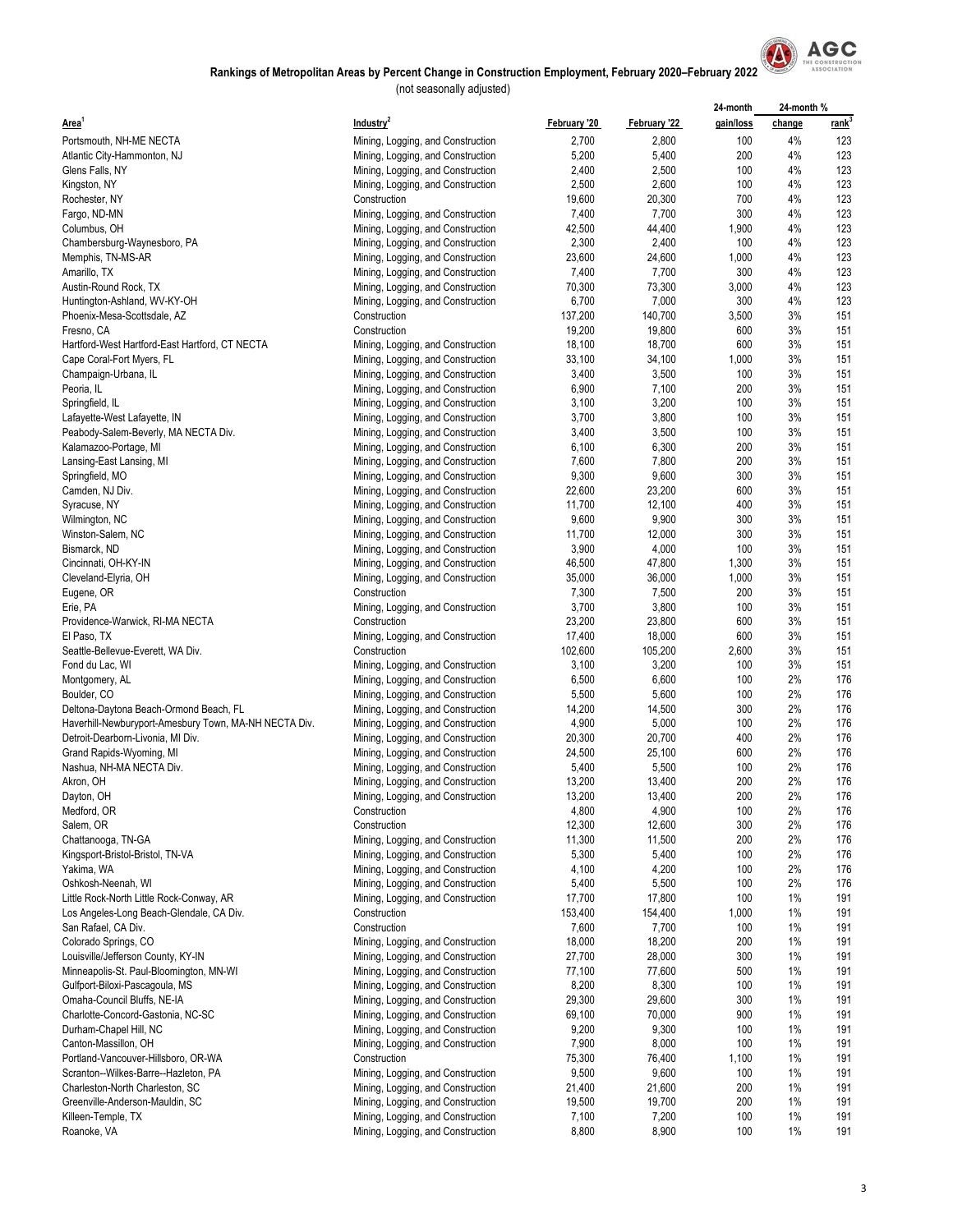

|                                                       |                                   |              |              | 24-month  | 24-month % |                   |
|-------------------------------------------------------|-----------------------------------|--------------|--------------|-----------|------------|-------------------|
| Area <sup>1</sup>                                     | Industry <sup>2</sup>             | February '20 | February '22 | gain/loss | change     | rank <sup>3</sup> |
| Portsmouth, NH-ME NECTA                               | Mining, Logging, and Construction | 2,700        | 2,800        | 100       | 4%         | 123               |
| Atlantic City-Hammonton, NJ                           | Mining, Logging, and Construction | 5,200        | 5,400        | 200       | 4%         | 123               |
|                                                       |                                   | 2,400        | 2,500        | 100       | 4%         | 123               |
| Glens Falls, NY                                       | Mining, Logging, and Construction |              |              |           | 4%         |                   |
| Kingston, NY                                          | Mining, Logging, and Construction | 2,500        | 2,600        | 100       |            | 123               |
| Rochester, NY                                         | Construction                      | 19,600       | 20,300       | 700       | 4%         | 123               |
| Fargo, ND-MN                                          | Mining, Logging, and Construction | 7,400        | 7,700        | 300       | 4%         | 123               |
| Columbus, OH                                          | Mining, Logging, and Construction | 42,500       | 44,400       | 1,900     | 4%         | 123               |
| Chambersburg-Waynesboro, PA                           | Mining, Logging, and Construction | 2,300        | 2,400        | 100       | 4%         | 123               |
| Memphis, TN-MS-AR                                     | Mining, Logging, and Construction | 23,600       | 24,600       | 1,000     | 4%         | 123               |
| Amarillo, TX                                          | Mining, Logging, and Construction | 7,400        | 7,700        | 300       | 4%         | 123               |
| Austin-Round Rock, TX                                 | Mining, Logging, and Construction | 70,300       | 73,300       | 3,000     | 4%         | 123               |
| Huntington-Ashland, WV-KY-OH                          | Mining, Logging, and Construction | 6,700        | 7,000        | 300       | 4%         | 123               |
| Phoenix-Mesa-Scottsdale, AZ                           | Construction                      | 137,200      | 140,700      | 3,500     | 3%         | 151               |
| Fresno, CA                                            | Construction                      | 19,200       | 19,800       | 600       | 3%         | 151               |
| Hartford-West Hartford-East Hartford, CT NECTA        |                                   | 18,100       | 18,700       | 600       | 3%         | 151               |
|                                                       | Mining, Logging, and Construction |              |              |           |            |                   |
| Cape Coral-Fort Myers, FL                             | Mining, Logging, and Construction | 33,100       | 34,100       | 1,000     | 3%         | 151               |
| Champaign-Urbana, IL                                  | Mining, Logging, and Construction | 3,400        | 3,500        | 100       | 3%         | 151               |
| Peoria, IL                                            | Mining, Logging, and Construction | 6,900        | 7,100        | 200       | 3%         | 151               |
| Springfield, IL                                       | Mining, Logging, and Construction | 3,100        | 3,200        | 100       | 3%         | 151               |
| Lafayette-West Lafayette, IN                          | Mining, Logging, and Construction | 3,700        | 3,800        | 100       | 3%         | 151               |
| Peabody-Salem-Beverly, MA NECTA Div.                  | Mining, Logging, and Construction | 3,400        | 3,500        | 100       | 3%         | 151               |
| Kalamazoo-Portage, MI                                 | Mining, Logging, and Construction | 6,100        | 6,300        | 200       | 3%         | 151               |
| Lansing-East Lansing, MI                              | Mining, Logging, and Construction | 7,600        | 7,800        | 200       | 3%         | 151               |
| Springfield, MO                                       | Mining, Logging, and Construction | 9,300        | 9,600        | 300       | 3%         | 151               |
|                                                       |                                   |              |              |           | 3%         |                   |
| Camden, NJ Div.                                       | Mining, Logging, and Construction | 22,600       | 23,200       | 600       |            | 151               |
| Syracuse, NY                                          | Mining, Logging, and Construction | 11,700       | 12,100       | 400       | 3%         | 151               |
| Wilmington, NC                                        | Mining, Logging, and Construction | 9,600        | 9,900        | 300       | 3%         | 151               |
| Winston-Salem, NC                                     | Mining, Logging, and Construction | 11,700       | 12,000       | 300       | 3%         | 151               |
| Bismarck, ND                                          | Mining, Logging, and Construction | 3,900        | 4,000        | 100       | 3%         | 151               |
| Cincinnati, OH-KY-IN                                  | Mining, Logging, and Construction | 46,500       | 47,800       | 1,300     | 3%         | 151               |
| Cleveland-Elyria, OH                                  | Mining, Logging, and Construction | 35,000       | 36,000       | 1,000     | 3%         | 151               |
| Eugene, OR                                            | Construction                      | 7,300        | 7,500        | 200       | 3%         | 151               |
| Erie, PA                                              | Mining, Logging, and Construction | 3,700        | 3,800        | 100       | 3%         | 151               |
| Providence-Warwick, RI-MA NECTA                       | Construction                      | 23,200       | 23,800       | 600       | 3%         | 151               |
| El Paso, TX                                           | Mining, Logging, and Construction | 17,400       | 18,000       | 600       | 3%         | 151               |
|                                                       |                                   |              |              |           |            |                   |
| Seattle-Bellevue-Everett, WA Div.                     | Construction                      | 102,600      | 105,200      | 2,600     | 3%         | 151               |
| Fond du Lac, WI                                       | Mining, Logging, and Construction | 3,100        | 3,200        | 100       | 3%         | 151               |
| Montgomery, AL                                        | Mining, Logging, and Construction | 6,500        | 6,600        | 100       | 2%         | 176               |
| Boulder, CO                                           | Mining, Logging, and Construction | 5,500        | 5,600        | 100       | 2%         | 176               |
| Deltona-Daytona Beach-Ormond Beach, FL                | Mining, Logging, and Construction | 14,200       | 14,500       | 300       | 2%         | 176               |
| Haverhill-Newburyport-Amesbury Town, MA-NH NECTA Div. | Mining, Logging, and Construction | 4,900        | 5,000        | 100       | 2%         | 176               |
| Detroit-Dearborn-Livonia, MI Div.                     | Mining, Logging, and Construction | 20,300       | 20,700       | 400       | 2%         | 176               |
| Grand Rapids-Wyoming, MI                              | Mining, Logging, and Construction | 24,500       | 25,100       | 600       | 2%         | 176               |
| Nashua, NH-MA NECTA Div.                              | Mining, Logging, and Construction | 5,400        | 5,500        | 100       | 2%         | 176               |
| Akron, OH                                             | Mining, Logging, and Construction | 13,200       | 13,400       | 200       | 2%         | 176               |
|                                                       |                                   |              |              | 200       | 2%         |                   |
| Dayton, OH                                            | Mining, Logging, and Construction | 13,200       | 13,400       |           |            | 176               |
| Medford, OR                                           | Construction                      | 4,800        | 4,900        | 100       | 2%         | 176               |
| Salem, OR                                             | Construction                      | 12,300       | 12,600       | 300       | 2%         | 176               |
| Chattanooga, TN-GA                                    | Mining, Logging, and Construction | 11,300       | 11,500       | 200       | 2%         | 176               |
| Kingsport-Bristol-Bristol, TN-VA                      | Mining, Logging, and Construction | 5,300        | 5,400        | 100       | 2%         | 176               |
| Yakima, WA                                            | Mining, Logging, and Construction | 4,100        | 4,200        | 100       | 2%         | 176               |
| Oshkosh-Neenah, WI                                    | Mining, Logging, and Construction | 5,400        | 5,500        | 100       | 2%         | 176               |
| Little Rock-North Little Rock-Conway, AR              | Mining, Logging, and Construction | 17,700       | 17,800       | 100       | 1%         | 191               |
| Los Angeles-Long Beach-Glendale, CA Div.              | Construction                      | 153,400      | 154,400      | 1,000     | 1%         | 191               |
| San Rafael, CA Div.                                   | Construction                      | 7,600        | 7,700        | 100       | 1%         | 191               |
| Colorado Springs, CO                                  | Mining, Logging, and Construction | 18,000       | 18,200       | 200       | 1%         | 191               |
|                                                       |                                   |              |              |           |            |                   |
| Louisville/Jefferson County, KY-IN                    | Mining, Logging, and Construction | 27,700       | 28,000       | 300       | 1%         | 191               |
| Minneapolis-St. Paul-Bloomington, MN-WI               | Mining, Logging, and Construction | 77,100       | 77,600       | 500       | 1%         | 191               |
| Gulfport-Biloxi-Pascagoula, MS                        | Mining, Logging, and Construction | 8,200        | 8,300        | 100       | 1%         | 191               |
| Omaha-Council Bluffs, NE-IA                           | Mining, Logging, and Construction | 29,300       | 29,600       | 300       | 1%         | 191               |
| Charlotte-Concord-Gastonia, NC-SC                     | Mining, Logging, and Construction | 69,100       | 70,000       | 900       | 1%         | 191               |
| Durham-Chapel Hill, NC                                | Mining, Logging, and Construction | 9,200        | 9,300        | 100       | 1%         | 191               |
| Canton-Massillon, OH                                  | Mining, Logging, and Construction | 7,900        | 8,000        | 100       | 1%         | 191               |
| Portland-Vancouver-Hillsboro, OR-WA                   | Construction                      | 75,300       | 76,400       | 1,100     | 1%         | 191               |
| Scranton--Wilkes-Barre--Hazleton, PA                  | Mining, Logging, and Construction | 9,500        | 9,600        | 100       | 1%         | 191               |
| Charleston-North Charleston, SC                       | Mining, Logging, and Construction | 21,400       | 21,600       | 200       | 1%         | 191               |
| Greenville-Anderson-Mauldin, SC                       | Mining, Logging, and Construction | 19,500       | 19,700       | 200       | 1%         | 191               |
| Killeen-Temple, TX                                    | Mining, Logging, and Construction | 7,100        | 7,200        |           | 1%         |                   |
|                                                       |                                   |              |              | 100       |            | 191               |
| Roanoke, VA                                           | Mining, Logging, and Construction | 8,800        | 8,900        | 100       | 1%         | 191               |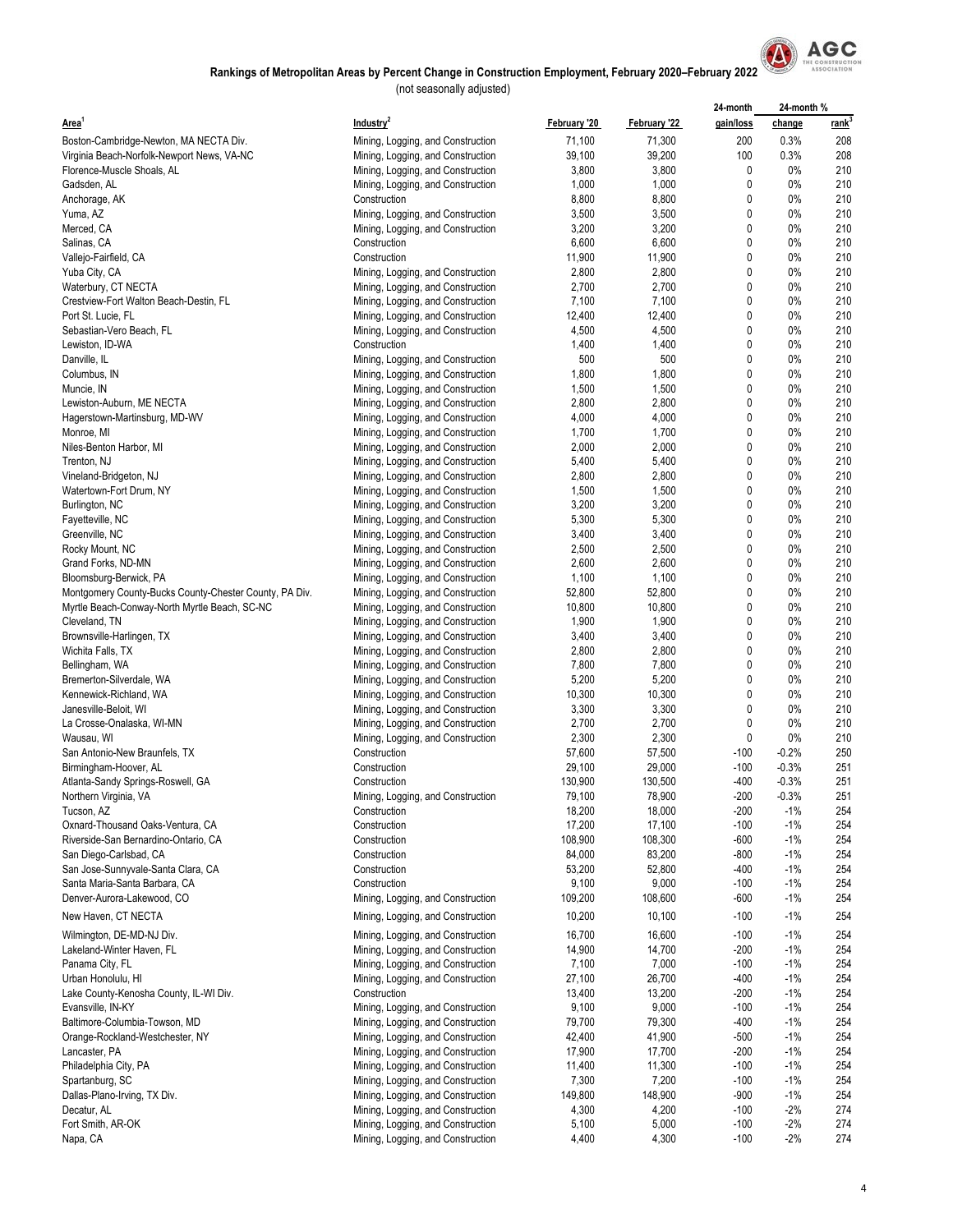

|                                                        |                                                                        |                 |                 | 24-month  | 24-month% |                   |
|--------------------------------------------------------|------------------------------------------------------------------------|-----------------|-----------------|-----------|-----------|-------------------|
| Area <sup>1</sup>                                      | Industry <sup>2</sup>                                                  | February '20    | February '22    | gain/loss | change    | rank <sup>-</sup> |
| Boston-Cambridge-Newton, MA NECTA Div.                 | Mining, Logging, and Construction                                      | 71,100          | 71,300          | 200       | 0.3%      | 208               |
| Virginia Beach-Norfolk-Newport News, VA-NC             | Mining, Logging, and Construction                                      | 39,100          | 39,200          | 100       | 0.3%      | 208               |
| Florence-Muscle Shoals, AL                             | Mining, Logging, and Construction                                      | 3,800           | 3,800           | 0         | 0%        | 210               |
| Gadsden, AL                                            | Mining, Logging, and Construction                                      | 1,000           | 1,000           | 0         | 0%        | 210               |
| Anchorage, AK                                          | Construction                                                           | 8,800           | 8,800           | 0         | 0%        | 210               |
| Yuma, AZ                                               | Mining, Logging, and Construction                                      | 3,500           | 3,500           | 0         | 0%        | 210               |
| Merced, CA                                             | Mining, Logging, and Construction                                      | 3,200           | 3,200           | 0         | $0\%$     | 210               |
| Salinas, CA                                            | Construction                                                           | 6,600           | 6,600           | 0         | 0%        | 210               |
| Vallejo-Fairfield, CA                                  | Construction<br>Mining, Logging, and Construction                      | 11,900<br>2,800 | 11,900<br>2,800 | 0<br>0    | 0%<br>0%  | 210<br>210        |
| Yuba City, CA<br>Waterbury, CT NECTA                   | Mining, Logging, and Construction                                      | 2,700           | 2,700           | 0         | 0%        | 210               |
| Crestview-Fort Walton Beach-Destin, FL                 | Mining, Logging, and Construction                                      | 7,100           | 7,100           | 0         | 0%        | 210               |
| Port St. Lucie, FL                                     | Mining, Logging, and Construction                                      | 12,400          | 12,400          | 0         | 0%        | 210               |
| Sebastian-Vero Beach, FL                               | Mining, Logging, and Construction                                      | 4,500           | 4,500           | 0         | 0%        | 210               |
| Lewiston, ID-WA                                        | Construction                                                           | 1,400           | 1,400           | 0         | $0\%$     | 210               |
| Danville, IL                                           | Mining, Logging, and Construction                                      | 500             | 500             | 0         | $0\%$     | 210               |
| Columbus, IN                                           | Mining, Logging, and Construction                                      | 1,800           | 1,800           | 0         | 0%        | 210               |
| Muncie, IN                                             | Mining, Logging, and Construction                                      | 1,500           | 1,500           | 0         | 0%        | 210               |
| Lewiston-Auburn, ME NECTA                              | Mining, Logging, and Construction                                      | 2,800           | 2,800           | 0         | $0\%$     | 210               |
| Hagerstown-Martinsburg, MD-WV                          | Mining, Logging, and Construction                                      | 4,000           | 4,000           | 0         | 0%        | 210               |
| Monroe, MI                                             | Mining, Logging, and Construction                                      | 1,700           | 1,700           | 0         | $0\%$     | 210               |
| Niles-Benton Harbor, MI                                | Mining, Logging, and Construction                                      | 2,000           | 2,000           | 0         | 0%        | 210               |
| Trenton, NJ                                            | Mining, Logging, and Construction                                      | 5,400           | 5,400           | 0         | $0\%$     | 210               |
| Vineland-Bridgeton, NJ                                 | Mining, Logging, and Construction                                      | 2,800           | 2,800           | 0         | $0\%$     | 210               |
| Watertown-Fort Drum, NY                                | Mining, Logging, and Construction                                      | 1,500           | 1,500           | 0         | $0\%$     | 210               |
| Burlington, NC                                         | Mining, Logging, and Construction                                      | 3,200           | 3,200           | 0         | 0%        | 210               |
| Fayetteville, NC                                       | Mining, Logging, and Construction                                      | 5,300           | 5,300           | 0         | $0\%$     | 210               |
| Greenville, NC                                         | Mining, Logging, and Construction                                      | 3,400           | 3,400           | 0         | 0%        | 210               |
| Rocky Mount, NC                                        | Mining, Logging, and Construction                                      | 2,500           | 2,500           | 0         | 0%        | 210               |
| Grand Forks, ND-MN                                     | Mining, Logging, and Construction                                      | 2,600           | 2,600           | 0         | 0%        | 210               |
| Bloomsburg-Berwick, PA                                 | Mining, Logging, and Construction                                      | 1,100           | 1,100           | 0         | $0\%$     | 210               |
| Montgomery County-Bucks County-Chester County, PA Div. | Mining, Logging, and Construction                                      | 52,800          | 52,800          | 0         | $0\%$     | 210               |
| Myrtle Beach-Conway-North Myrtle Beach, SC-NC          | Mining, Logging, and Construction                                      | 10,800          | 10,800          | 0         | 0%        | 210               |
| Cleveland, TN                                          | Mining, Logging, and Construction                                      | 1,900<br>3,400  | 1,900<br>3,400  | 0<br>0    | 0%<br>0%  | 210<br>210        |
| Brownsville-Harlingen, TX<br>Wichita Falls, TX         | Mining, Logging, and Construction<br>Mining, Logging, and Construction | 2,800           | 2,800           | 0         | $0\%$     | 210               |
| Bellingham, WA                                         | Mining, Logging, and Construction                                      | 7,800           | 7,800           | 0         | 0%        | 210               |
| Bremerton-Silverdale, WA                               | Mining, Logging, and Construction                                      | 5,200           | 5,200           | 0         | $0\%$     | 210               |
| Kennewick-Richland, WA                                 | Mining, Logging, and Construction                                      | 10,300          | 10,300          | 0         | 0%        | 210               |
| Janesville-Beloit, WI                                  | Mining, Logging, and Construction                                      | 3,300           | 3,300           | 0         | $0\%$     | 210               |
| La Crosse-Onalaska, WI-MN                              | Mining, Logging, and Construction                                      | 2,700           | 2,700           | 0         | 0%        | 210               |
| Wausau, WI                                             | Mining, Logging, and Construction                                      | 2,300           | 2,300           | 0         | 0%        | 210               |
| San Antonio-New Braunfels, TX                          | Construction                                                           | 57,600          | 57,500          | $-100$    | $-0.2%$   | 250               |
| Birmingham-Hoover, AL                                  | Construction                                                           | 29,100          | 29,000          | $-100$    | $-0.3%$   | 251               |
| Atlanta-Sandy Springs-Roswell, GA                      | Construction                                                           | 130,900         | 130,500         | $-400$    | $-0.3%$   | 251               |
| Northern Virginia, VA                                  | Mining, Logging, and Construction                                      | 79,100          | 78,900          | $-200$    | -0.3%     | 251               |
| Tucson, AZ                                             | Construction                                                           | 18,200          | 18,000          | $-200$    | $-1%$     | 254               |
| Oxnard-Thousand Oaks-Ventura, CA                       | Construction                                                           | 17,200          | 17,100          | $-100$    | $-1\%$    | 254               |
| Riverside-San Bernardino-Ontario, CA                   | Construction                                                           | 108,900         | 108,300         | $-600$    | $-1%$     | 254               |
| San Diego-Carlsbad, CA                                 | Construction                                                           | 84,000          | 83,200          | $-800$    | $-1%$     | 254               |
| San Jose-Sunnyvale-Santa Clara, CA                     | Construction                                                           | 53,200          | 52,800          | $-400$    | $-1%$     | 254               |
| Santa Maria-Santa Barbara, CA                          | Construction                                                           | 9,100           | 9,000           | $-100$    | $-1%$     | 254               |
| Denver-Aurora-Lakewood, CO                             | Mining, Logging, and Construction                                      | 109,200         | 108,600         | -600      | $-1%$     | 254               |
| New Haven, CT NECTA                                    | Mining, Logging, and Construction                                      | 10,200          | 10,100          | $-100$    | $-1%$     | 254               |
| Wilmington, DE-MD-NJ Div.                              | Mining, Logging, and Construction                                      | 16,700          | 16,600          | $-100$    | $-1%$     | 254               |
| Lakeland-Winter Haven, FL                              | Mining, Logging, and Construction                                      | 14,900          | 14,700          | $-200$    | $-1%$     | 254               |
| Panama City, FL                                        | Mining, Logging, and Construction                                      | 7,100           | 7,000           | $-100$    | $-1%$     | 254               |
| Urban Honolulu, HI                                     | Mining, Logging, and Construction                                      | 27,100          | 26,700          | $-400$    | $-1%$     | 254               |
| Lake County-Kenosha County, IL-WI Div.                 | Construction                                                           | 13,400          | 13,200          | $-200$    | $-1%$     | 254               |
| Evansville, IN-KY                                      | Mining, Logging, and Construction                                      | 9,100           | 9,000           | $-100$    | $-1%$     | 254               |
| Baltimore-Columbia-Towson, MD                          | Mining, Logging, and Construction                                      | 79,700          | 79,300          | -400      | $-1%$     | 254               |
| Orange-Rockland-Westchester, NY                        | Mining, Logging, and Construction                                      | 42,400          | 41,900          | $-500$    | $-1%$     | 254               |
| Lancaster, PA                                          | Mining, Logging, and Construction                                      | 17,900          | 17,700          | $-200$    | $-1%$     | 254               |
| Philadelphia City, PA                                  | Mining, Logging, and Construction                                      | 11,400          | 11,300          | $-100$    | $-1%$     | 254               |
| Spartanburg, SC                                        | Mining, Logging, and Construction                                      | 7,300           | 7,200           | $-100$    | $-1%$     | 254               |
| Dallas-Plano-Irving, TX Div.                           | Mining, Logging, and Construction                                      | 149,800         | 148,900         | -900      | $-1%$     | 254               |
| Decatur, AL                                            | Mining, Logging, and Construction                                      | 4,300           | 4,200           | $-100$    | $-2%$     | 274               |
| Fort Smith, AR-OK                                      | Mining, Logging, and Construction                                      | 5,100           | 5,000           | $-100$    | $-2%$     | 274               |
| Napa, CA                                               | Mining, Logging, and Construction                                      | 4,400           | 4,300           | $-100$    | $-2%$     | 274               |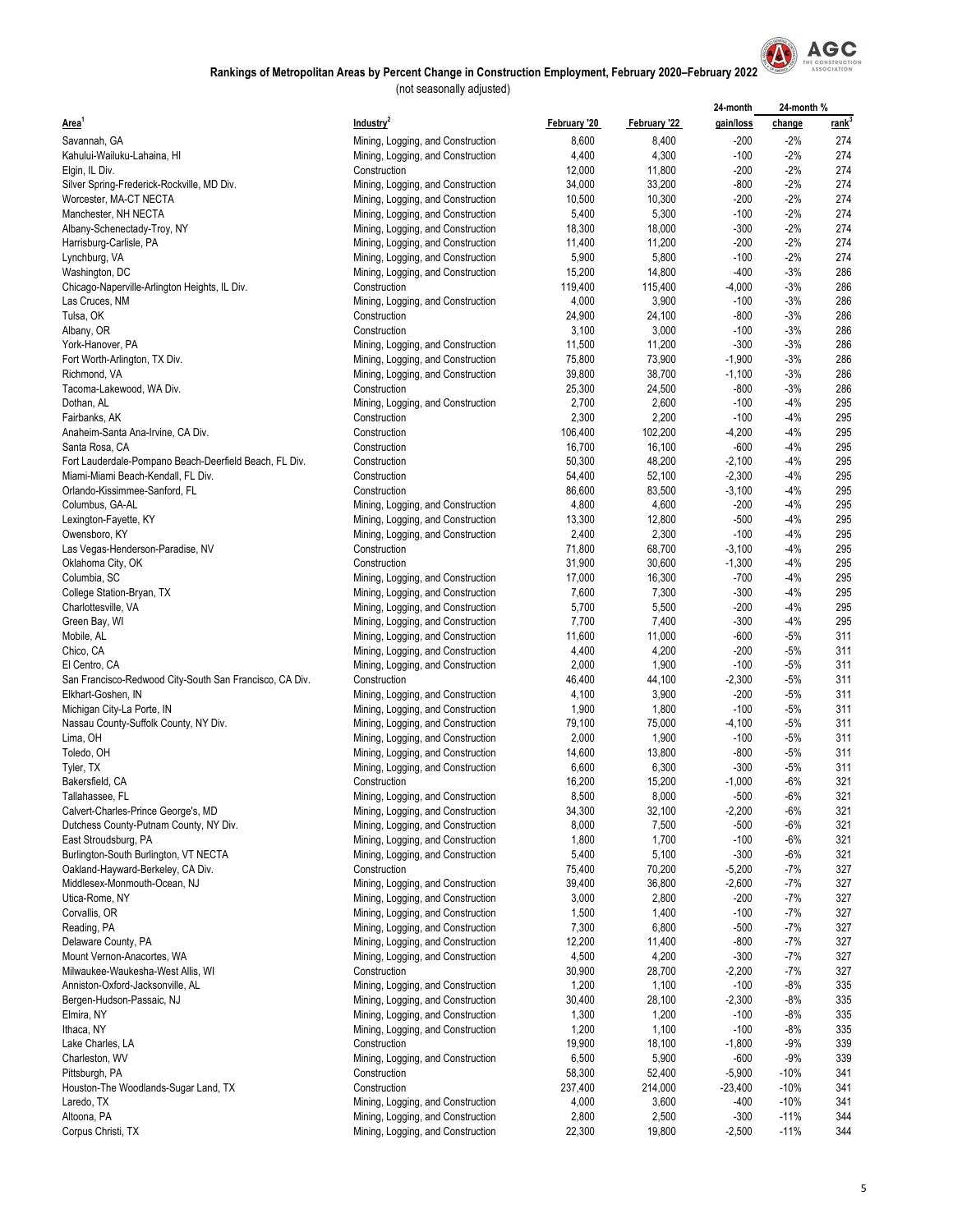

|                                                         |                                   |              |              | 24-month  | 24-month% |                   |
|---------------------------------------------------------|-----------------------------------|--------------|--------------|-----------|-----------|-------------------|
| Area <sup>1</sup>                                       | Industry <sup>2</sup>             | February '20 | February '22 | gain/loss | change    | rank <sup>3</sup> |
| Savannah, GA                                            | Mining, Logging, and Construction | 8,600        | 8,400        | $-200$    | $-2%$     | 274               |
| Kahului-Wailuku-Lahaina, HI                             | Mining, Logging, and Construction | 4,400        | 4,300        | $-100$    | $-2%$     | 274               |
| Elgin, IL Div.                                          | Construction                      | 12,000       | 11,800       | $-200$    | $-2%$     | 274               |
| Silver Spring-Frederick-Rockville, MD Div.              | Mining, Logging, and Construction | 34,000       | 33,200       | $-800$    | $-2%$     | 274               |
| Worcester, MA-CT NECTA                                  | Mining, Logging, and Construction | 10,500       | 10,300       | $-200$    | $-2%$     | 274               |
| Manchester, NH NECTA                                    | Mining, Logging, and Construction | 5,400        | 5,300        | $-100$    | $-2%$     | 274               |
| Albany-Schenectady-Troy, NY                             | Mining, Logging, and Construction | 18,300       | 18,000       | $-300$    | $-2%$     | 274               |
| Harrisburg-Carlisle, PA                                 | Mining, Logging, and Construction | 11,400       | 11,200       | $-200$    | $-2%$     | 274               |
| Lynchburg, VA                                           | Mining, Logging, and Construction | 5,900        | 5,800        | $-100$    | $-2%$     | 274               |
| Washington, DC                                          | Mining, Logging, and Construction | 15,200       | 14,800       | $-400$    | $-3%$     | 286               |
| Chicago-Naperville-Arlington Heights, IL Div.           | Construction                      | 119,400      | 115,400      | $-4,000$  | $-3%$     | 286               |
| Las Cruces, NM                                          | Mining, Logging, and Construction | 4,000        | 3,900        | $-100$    | $-3%$     | 286               |
| Tulsa, OK                                               | Construction                      | 24,900       | 24,100       | $-800$    | $-3%$     | 286               |
| Albany, OR                                              | Construction                      | 3,100        | 3,000        | $-100$    | $-3%$     | 286               |
| York-Hanover, PA                                        | Mining, Logging, and Construction | 11,500       | 11,200       | $-300$    | $-3%$     | 286               |
| Fort Worth-Arlington, TX Div.                           | Mining, Logging, and Construction | 75,800       | 73,900       | $-1,900$  | $-3%$     | 286               |
| Richmond, VA                                            | Mining, Logging, and Construction | 39,800       | 38,700       | $-1,100$  | $-3%$     | 286               |
| Tacoma-Lakewood, WA Div.                                | Construction                      | 25,300       | 24,500       | $-800$    | $-3%$     | 286               |
| Dothan, AL                                              | Mining, Logging, and Construction | 2,700        | 2,600        | $-100$    | $-4%$     | 295               |
| Fairbanks, AK                                           | Construction                      | 2,300        | 2,200        | $-100$    | $-4%$     | 295               |
| Anaheim-Santa Ana-Irvine, CA Div.                       | Construction                      | 106,400      | 102,200      | $-4,200$  | -4%       | 295               |
| Santa Rosa, CA                                          | Construction                      | 16,700       | 16,100       | $-600$    | $-4%$     | 295               |
|                                                         | Construction                      | 50,300       | 48,200       | $-2,100$  | $-4%$     | 295               |
| Fort Lauderdale-Pompano Beach-Deerfield Beach, FL Div.  |                                   |              |              |           |           | 295               |
| Miami-Miami Beach-Kendall, FL Div.                      | Construction                      | 54,400       | 52,100       | $-2,300$  | $-4%$     |                   |
| Orlando-Kissimmee-Sanford, FL                           | Construction                      | 86,600       | 83,500       | $-3,100$  | $-4%$     | 295               |
| Columbus, GA-AL                                         | Mining, Logging, and Construction | 4,800        | 4,600        | $-200$    | -4%       | 295               |
| Lexington-Fayette, KY                                   | Mining, Logging, and Construction | 13,300       | 12,800       | $-500$    | -4%       | 295               |
| Owensboro, KY                                           | Mining, Logging, and Construction | 2,400        | 2,300        | $-100$    | -4%       | 295               |
| Las Vegas-Henderson-Paradise, NV                        | Construction                      | 71,800       | 68,700       | $-3,100$  | -4%       | 295               |
| Oklahoma City, OK                                       | Construction                      | 31,900       | 30,600       | $-1,300$  | $-4%$     | 295               |
| Columbia, SC                                            | Mining, Logging, and Construction | 17,000       | 16,300       | $-700$    | $-4%$     | 295               |
| College Station-Bryan, TX                               | Mining, Logging, and Construction | 7,600        | 7,300        | $-300$    | $-4%$     | 295               |
| Charlottesville, VA                                     | Mining, Logging, and Construction | 5,700        | 5,500        | $-200$    | -4%       | 295               |
| Green Bay, WI                                           | Mining, Logging, and Construction | 7,700        | 7,400        | $-300$    | $-4%$     | 295               |
| Mobile, AL                                              | Mining, Logging, and Construction | 11,600       | 11,000       | $-600$    | -5%       | 311               |
| Chico, CA                                               | Mining, Logging, and Construction | 4,400        | 4,200        | $-200$    | -5%       | 311               |
| El Centro, CA                                           | Mining, Logging, and Construction | 2,000        | 1,900        | $-100$    | -5%       | 311               |
| San Francisco-Redwood City-South San Francisco, CA Div. | Construction                      | 46,400       | 44,100       | $-2,300$  | $-5%$     | 311               |
| Elkhart-Goshen, IN                                      | Mining, Logging, and Construction | 4,100        | 3,900        | $-200$    | $-5%$     | 311               |
| Michigan City-La Porte, IN                              | Mining, Logging, and Construction | 1,900        | 1,800        | $-100$    | $-5%$     | 311               |
| Nassau County-Suffolk County, NY Div.                   | Mining, Logging, and Construction | 79,100       | 75,000       | $-4,100$  | $-5%$     | 311               |
| Lima, OH                                                | Mining, Logging, and Construction | 2,000        | 1,900        | $-100$    | -5%       | 311               |
| Toledo, OH                                              | Mining, Logging, and Construction | 14,600       | 13,800       | $-800$    | -5%       | 311               |
| Tyler, TX                                               | Mining, Logging, and Construction | 6,600        | 6,300        | $-300$    | -5%       | 311               |
| Bakersfield, CA                                         | Construction                      | 16,200       | 15,200       | $-1,000$  | $-6%$     | 321               |
| Tallahassee, FL                                         | Mining, Logging, and Construction | 8,500        | 8,000        | $-500$    | $-6%$     | 321               |
| Calvert-Charles-Prince George's, MD                     | Mining, Logging, and Construction | 34,300       | 32,100       | $-2,200$  | -6%       | 321               |
| Dutchess County-Putnam County, NY Div.                  | Mining, Logging, and Construction | 8,000        | 7,500        | $-500$    | -6%       | 321               |
| East Stroudsburg, PA                                    | Mining, Logging, and Construction | 1,800        | 1,700        | $-100$    | -6%       | 321               |
| Burlington-South Burlington, VT NECTA                   | Mining, Logging, and Construction | 5,400        | 5,100        | $-300$    | -6%       | 321               |
| Oakland-Hayward-Berkeley, CA Div.                       | Construction                      | 75,400       | 70,200       | $-5,200$  | -7%       | 327               |
| Middlesex-Monmouth-Ocean, NJ                            | Mining, Logging, and Construction | 39,400       | 36,800       | $-2,600$  | -7%       | 327               |
| Utica-Rome, NY                                          | Mining, Logging, and Construction | 3,000        | 2,800        | $-200$    | -7%       | 327               |
| Corvallis, OR                                           | Mining, Logging, and Construction | 1,500        | 1,400        | $-100$    | -7%       | 327               |
| Reading, PA                                             | Mining, Logging, and Construction | 7,300        | 6,800        | $-500$    | $-7%$     | 327               |
| Delaware County, PA                                     | Mining, Logging, and Construction | 12,200       | 11,400       | $-800$    | -7%       | 327               |
| Mount Vernon-Anacortes, WA                              | Mining, Logging, and Construction | 4,500        | 4,200        | $-300$    | -7%       | 327               |
| Milwaukee-Waukesha-West Allis, WI                       | Construction                      | 30,900       | 28,700       | $-2,200$  | -7%       | 327               |
| Anniston-Oxford-Jacksonville, AL                        | Mining, Logging, and Construction | 1,200        | 1,100        | $-100$    | $-8%$     | 335               |
| Bergen-Hudson-Passaic, NJ                               | Mining, Logging, and Construction | 30,400       | 28,100       | $-2,300$  | $-8%$     | 335               |
| Elmira, NY                                              | Mining, Logging, and Construction | 1,300        | 1,200        | $-100$    | -8%       | 335               |
| Ithaca, NY                                              | Mining, Logging, and Construction | 1,200        | 1,100        | $-100$    | $-8%$     | 335               |
| Lake Charles, LA                                        | Construction                      | 19,900       | 18,100       | $-1,800$  | $-9%$     | 339               |
| Charleston, WV                                          | Mining, Logging, and Construction | 6,500        | 5,900        | $-600$    | $-9%$     | 339               |
| Pittsburgh, PA                                          | Construction                      | 58,300       | 52,400       | $-5,900$  | $-10%$    | 341               |
| Houston-The Woodlands-Sugar Land, TX                    | Construction                      | 237,400      | 214,000      | $-23,400$ | $-10%$    | 341               |
| Laredo, TX                                              | Mining, Logging, and Construction | 4,000        | 3,600        | -400      | $-10%$    | 341               |
| Altoona, PA                                             | Mining, Logging, and Construction | 2,800        | 2,500        | $-300$    | $-11%$    | 344               |
| Corpus Christi, TX                                      | Mining, Logging, and Construction | 22,300       | 19,800       | $-2,500$  | $-11%$    | 344               |